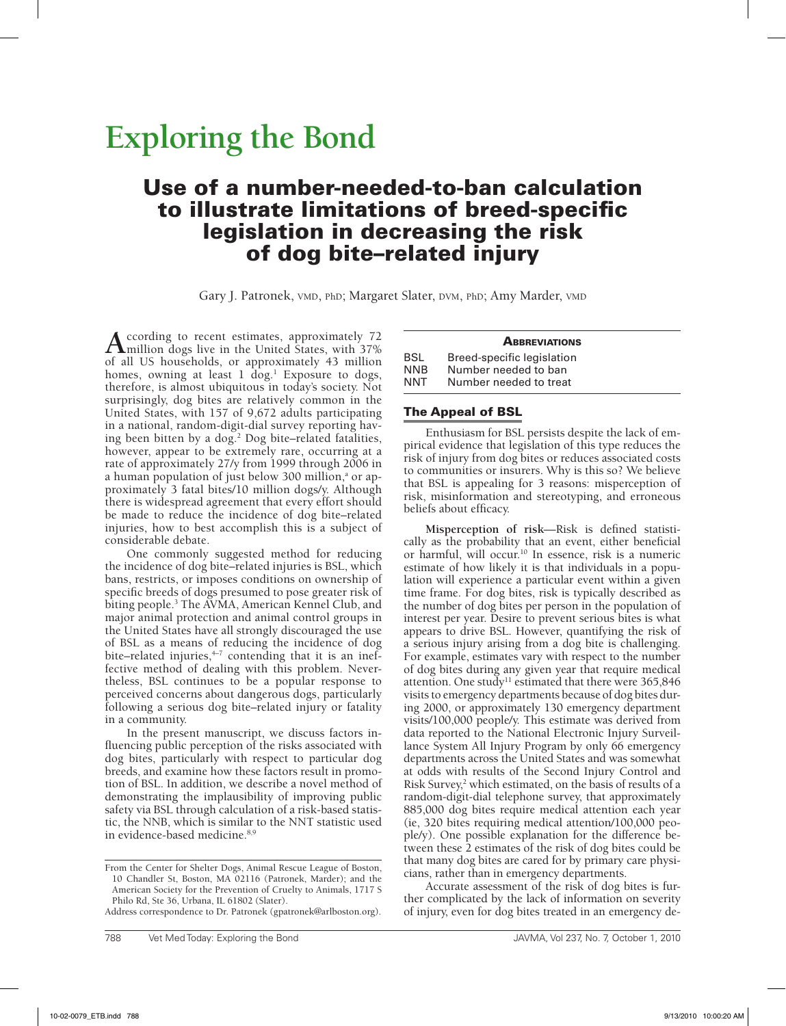# **Exploring the Bond**

# Use of a number-needed-to-ban calculation to illustrate limitations of breed-specific legislation in decreasing the risk of dog bite–related injury

Gary J. Patronek, vmp, php; Margaret Slater, DVM, php; Amy Marder, VMD

According to recent estimates, approximately 72<br>
million dogs live in the United States, with 37% of all US households, or approximately 43 million homes, owning at least  $1 \text{ dog.}^1$  Exposure to dogs, therefore, is almost ubiquitous in today's society. Not surprisingly, dog bites are relatively common in the United States, with 157 of 9,672 adults participating in a national, random-digit-dial survey reporting having been bitten by a dog.2 Dog bite–related fatalities, however, appear to be extremely rare, occurring at a rate of approximately 27/y from 1999 through 2006 in a human population of just below 300 million,ª or approximately 3 fatal bites/10 million dogs/y. Although there is widespread agreement that every effort should be made to reduce the incidence of dog bite–related injuries, how to best accomplish this is a subject of considerable debate.

One commonly suggested method for reducing the incidence of dog bite–related injuries is BSL, which bans, restricts, or imposes conditions on ownership of specific breeds of dogs presumed to pose greater risk of biting people.<sup>3</sup> The AVMA, American Kennel Club, and major animal protection and animal control groups in the United States have all strongly discouraged the use of BSL as a means of reducing the incidence of dog bite–related injuries, $+7$  contending that it is an ineffective method of dealing with this problem. Nevertheless, BSL continues to be a popular response to perceived concerns about dangerous dogs, particularly following a serious dog bite–related injury or fatality in a community.

In the present manuscript, we discuss factors influencing public perception of the risks associated with dog bites, particularly with respect to particular dog breeds, and examine how these factors result in promotion of BSL. In addition, we describe a novel method of demonstrating the implausibility of improving public safety via BSL through calculation of a risk-based statistic, the NNB, which is similar to the NNT statistic used in evidence-based medicine.<sup>8,9</sup>

Address correspondence to Dr. Patronek (gpatronek@arlboston.org).

#### **ABBREVIATIONS**

| BSL | Breed-specific legislation |
|-----|----------------------------|
| NNB | Number needed to ban       |
| NNT | Number needed to treat     |

#### The Appeal of BSL

Enthusiasm for BSL persists despite the lack of empirical evidence that legislation of this type reduces the risk of injury from dog bites or reduces associated costs to communities or insurers. Why is this so? We believe that BSL is appealing for 3 reasons: misperception of risk, misinformation and stereotyping, and erroneous beliefs about efficacy.

**Misperception of risk**—Risk is defined statistically as the probability that an event, either beneficial or harmful, will occur.10 In essence, risk is a numeric estimate of how likely it is that individuals in a population will experience a particular event within a given time frame. For dog bites, risk is typically described as the number of dog bites per person in the population of interest per year. Desire to prevent serious bites is what appears to drive BSL. However, quantifying the risk of a serious injury arising from a dog bite is challenging. For example, estimates vary with respect to the number of dog bites during any given year that require medical attention. One study<sup>11</sup> estimated that there were  $365,846$ visits to emergency departments because of dog bites during 2000, or approximately 130 emergency department visits/100,000 people/y. This estimate was derived from data reported to the National Electronic Injury Surveillance System All Injury Program by only 66 emergency departments across the United States and was somewhat at odds with results of the Second Injury Control and Risk Survey,<sup>2</sup> which estimated, on the basis of results of a random-digit-dial telephone survey, that approximately 885,000 dog bites require medical attention each year (ie, 320 bites requiring medical attention/100,000 people/y). One possible explanation for the difference between these 2 estimates of the risk of dog bites could be that many dog bites are cared for by primary care physicians, rather than in emergency departments.

Accurate assessment of the risk of dog bites is further complicated by the lack of information on severity of injury, even for dog bites treated in an emergency de-

From the Center for Shelter Dogs, Animal Rescue League of Boston, 10 Chandler St, Boston, MA 02116 (Patronek, Marder); and the American Society for the Prevention of Cruelty to Animals, 1717 S Philo Rd, Ste 36, Urbana, IL 61802 (Slater).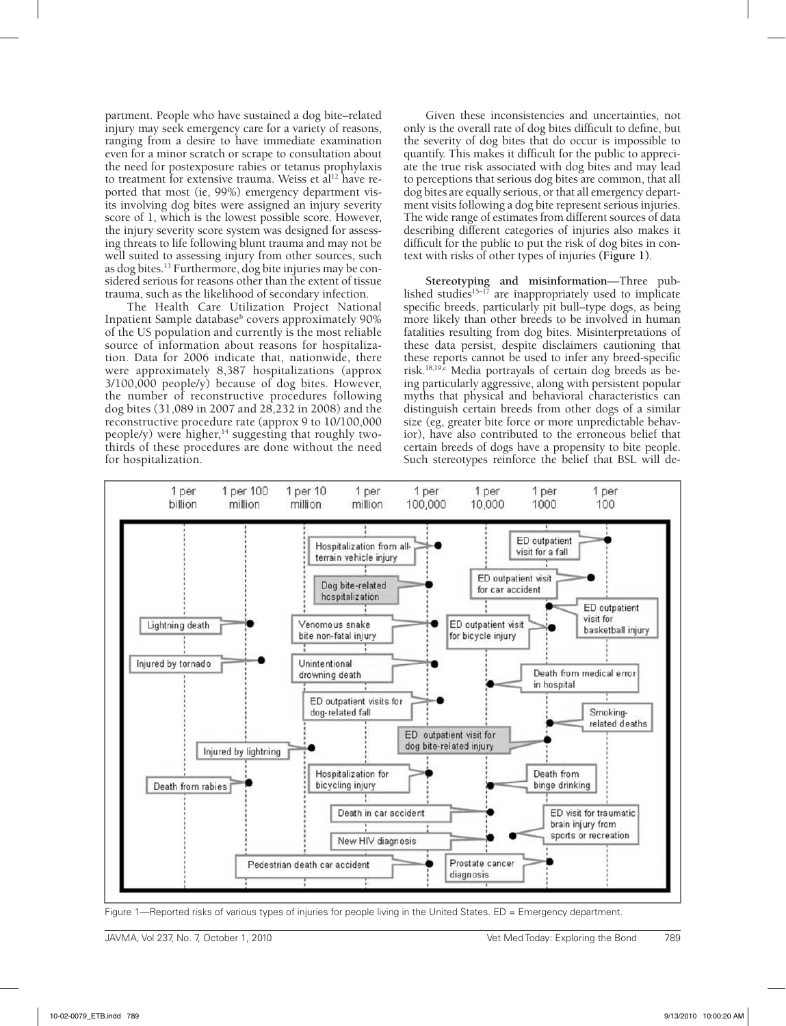partment. People who have sustained a dog bite–related injury may seek emergency care for a variety of reasons, ranging from a desire to have immediate examination even for a minor scratch or scrape to consultation about the need for postexposure rabies or tetanus prophylaxis to treatment for extensive trauma. Weiss et  $\hat{a}^{12}$  have reported that most (ie, 99%) emergency department visits involving dog bites were assigned an injury severity score of 1, which is the lowest possible score. However, the injury severity score system was designed for assessing threats to life following blunt trauma and may not be well suited to assessing injury from other sources, such as dog bites.13 Furthermore, dog bite injuries may be considered serious for reasons other than the extent of tissue trauma, such as the likelihood of secondary infection.

The Health Care Utilization Project National Inpatient Sample database<sup>b</sup> covers approximately 90% of the US population and currently is the most reliable source of information about reasons for hospitalization. Data for 2006 indicate that, nationwide, there were approximately 8,387 hospitalizations (approx  $3/100,000$  people/y) because of dog bites. However, the number of reconstructive procedures following dog bites (31,089 in 2007 and 28,232 in 2008) and the reconstructive procedure rate (approx 9 to 10/100,000 people/y) were higher, $14$  suggesting that roughly twothirds of these procedures are done without the need for hospitalization.

Given these inconsistencies and uncertainties, not only is the overall rate of dog bites difficult to define, but the severity of dog bites that do occur is impossible to quantify. This makes it difficult for the public to appreciate the true risk associated with dog bites and may lead to perceptions that serious dog bites are common, that all dog bites are equally serious, or that all emergency department visits following a dog bite represent serious injuries. The wide range of estimates from different sources of data describing different categories of injuries also makes it difficult for the public to put the risk of dog bites in context with risks of other types of injuries **(Figure 1)**.

**Stereotyping and misinformation**—Three published studies<sup>15–17</sup> are inappropriately used to implicate specific breeds, particularly pit bull–type dogs, as being more likely than other breeds to be involved in human fatalities resulting from dog bites. Misinterpretations of these data persist, despite disclaimers cautioning that these reports cannot be used to infer any breed-specific risk.<sup>18,19,c</sup> Media portrayals of certain dog breeds as being particularly aggressive, along with persistent popular myths that physical and behavioral characteristics can distinguish certain breeds from other dogs of a similar size (eg, greater bite force or more unpredictable behavior), have also contributed to the erroneous belief that certain breeds of dogs have a propensity to bite people. Such stereotypes reinforce the belief that BSL will de-



Figure 1—Reported risks of various types of injuries for people living in the United States. ED = Emergency department.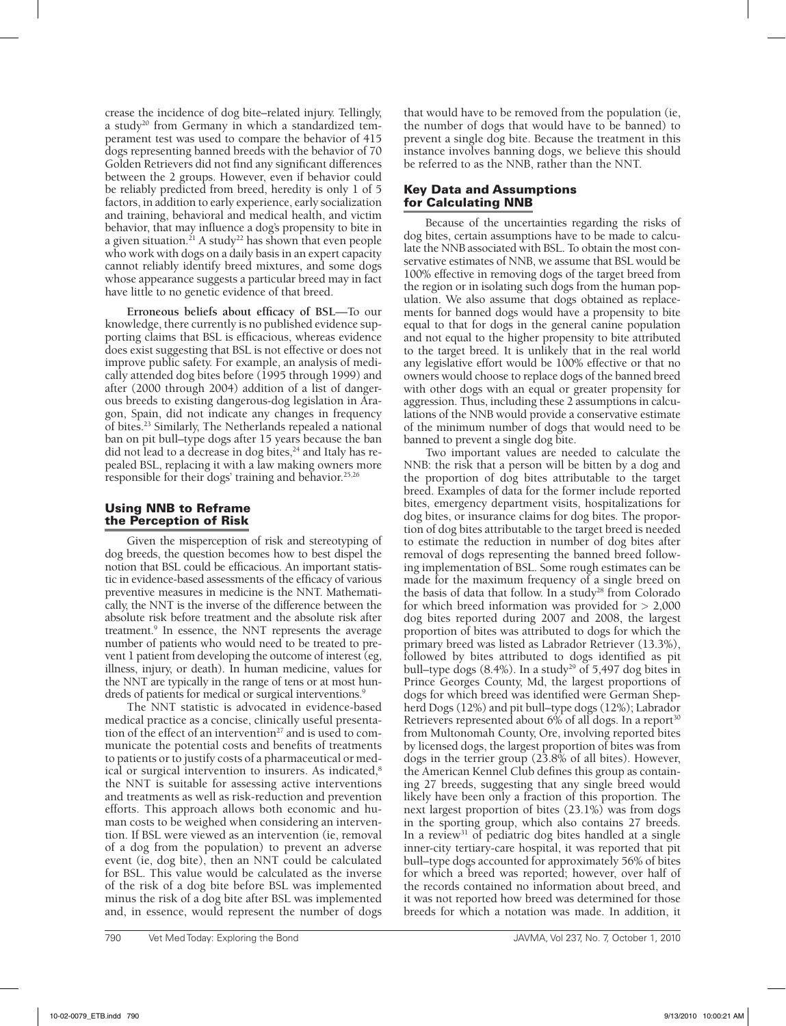crease the incidence of dog bite–related injury. Tellingly, a study<sup>20</sup> from Germany in which a standardized temperament test was used to compare the behavior of 415 dogs representing banned breeds with the behavior of 70 Golden Retrievers did not find any significant differences between the 2 groups. However, even if behavior could be reliably predicted from breed, heredity is only 1 of 5 factors, in addition to early experience, early socialization and training, behavioral and medical health, and victim behavior, that may influence a dog's propensity to bite in a given situation.<sup>21</sup> A study<sup>22</sup> has shown that even people who work with dogs on a daily basis in an expert capacity cannot reliably identify breed mixtures, and some dogs whose appearance suggests a particular breed may in fact have little to no genetic evidence of that breed.

**Erroneous beliefs about efficacy of BSL**—To our knowledge, there currently is no published evidence supporting claims that BSL is efficacious, whereas evidence does exist suggesting that BSL is not effective or does not improve public safety. For example, an analysis of medically attended dog bites before (1995 through 1999) and after (2000 through 2004) addition of a list of dangerous breeds to existing dangerous-dog legislation in Aragon, Spain, did not indicate any changes in frequency of bites.23 Similarly, The Netherlands repealed a national ban on pit bull–type dogs after 15 years because the ban did not lead to a decrease in dog bites, $24$  and Italy has repealed BSL, replacing it with a law making owners more responsible for their dogs' training and behavior.<sup>25,26</sup>

## Using NNB to Reframe the Perception of Risk

Given the misperception of risk and stereotyping of dog breeds, the question becomes how to best dispel the notion that BSL could be efficacious. An important statistic in evidence-based assessments of the efficacy of various preventive measures in medicine is the NNT. Mathematically, the NNT is the inverse of the difference between the absolute risk before treatment and the absolute risk after treatment.<sup>9</sup> In essence, the NNT represents the average number of patients who would need to be treated to prevent 1 patient from developing the outcome of interest (eg, illness, injury, or death). In human medicine, values for the NNT are typically in the range of tens or at most hundreds of patients for medical or surgical interventions.<sup>9</sup>

The NNT statistic is advocated in evidence-based medical practice as a concise, clinically useful presentation of the effect of an intervention<sup>27</sup> and is used to communicate the potential costs and benefits of treatments to patients or to justify costs of a pharmaceutical or medical or surgical intervention to insurers. As indicated,<sup>8</sup> the NNT is suitable for assessing active interventions and treatments as well as risk-reduction and prevention efforts. This approach allows both economic and human costs to be weighed when considering an intervention. If BSL were viewed as an intervention (ie, removal of a dog from the population) to prevent an adverse event (ie, dog bite), then an NNT could be calculated for BSL. This value would be calculated as the inverse of the risk of a dog bite before BSL was implemented minus the risk of a dog bite after BSL was implemented and, in essence, would represent the number of dogs that would have to be removed from the population (ie, the number of dogs that would have to be banned) to prevent a single dog bite. Because the treatment in this instance involves banning dogs, we believe this should be referred to as the NNB, rather than the NNT.

### Key Data and Assumptions for Calculating NNB

Because of the uncertainties regarding the risks of dog bites, certain assumptions have to be made to calculate the NNB associated with BSL. To obtain the most conservative estimates of NNB, we assume that BSL would be 100% effective in removing dogs of the target breed from the region or in isolating such dogs from the human population. We also assume that dogs obtained as replacements for banned dogs would have a propensity to bite equal to that for dogs in the general canine population and not equal to the higher propensity to bite attributed to the target breed. It is unlikely that in the real world any legislative effort would be 100% effective or that no owners would choose to replace dogs of the banned breed with other dogs with an equal or greater propensity for aggression. Thus, including these 2 assumptions in calculations of the NNB would provide a conservative estimate of the minimum number of dogs that would need to be banned to prevent a single dog bite.

Two important values are needed to calculate the NNB: the risk that a person will be bitten by a dog and the proportion of dog bites attributable to the target breed. Examples of data for the former include reported bites, emergency department visits, hospitalizations for dog bites, or insurance claims for dog bites. The proportion of dog bites attributable to the target breed is needed to estimate the reduction in number of dog bites after removal of dogs representing the banned breed following implementation of BSL. Some rough estimates can be made for the maximum frequency of a single breed on the basis of data that follow. In a study<sup>28</sup> from Colorado for which breed information was provided for  $> 2,000$ dog bites reported during 2007 and 2008, the largest proportion of bites was attributed to dogs for which the primary breed was listed as Labrador Retriever (13.3%), followed by bites attributed to dogs identified as pit bull–type dogs  $(8.4\%)$ . In a study<sup>29</sup> of 5,497 dog bites in Prince Georges County, Md, the largest proportions of dogs for which breed was identified were German Shepherd Dogs (12%) and pit bull–type dogs (12%); Labrador Retrievers represented about 6% of all dogs. In a report<sup>30</sup> from Multonomah County, Ore, involving reported bites by licensed dogs, the largest proportion of bites was from dogs in the terrier group (23.8% of all bites). However, the American Kennel Club defines this group as containing 27 breeds, suggesting that any single breed would likely have been only a fraction of this proportion. The next largest proportion of bites (23.1%) was from dogs in the sporting group, which also contains 27 breeds. In a review<sup>31</sup> of pediatric dog bites handled at a single inner-city tertiary-care hospital, it was reported that pit bull–type dogs accounted for approximately 56% of bites for which a breed was reported; however, over half of the records contained no information about breed, and it was not reported how breed was determined for those breeds for which a notation was made. In addition, it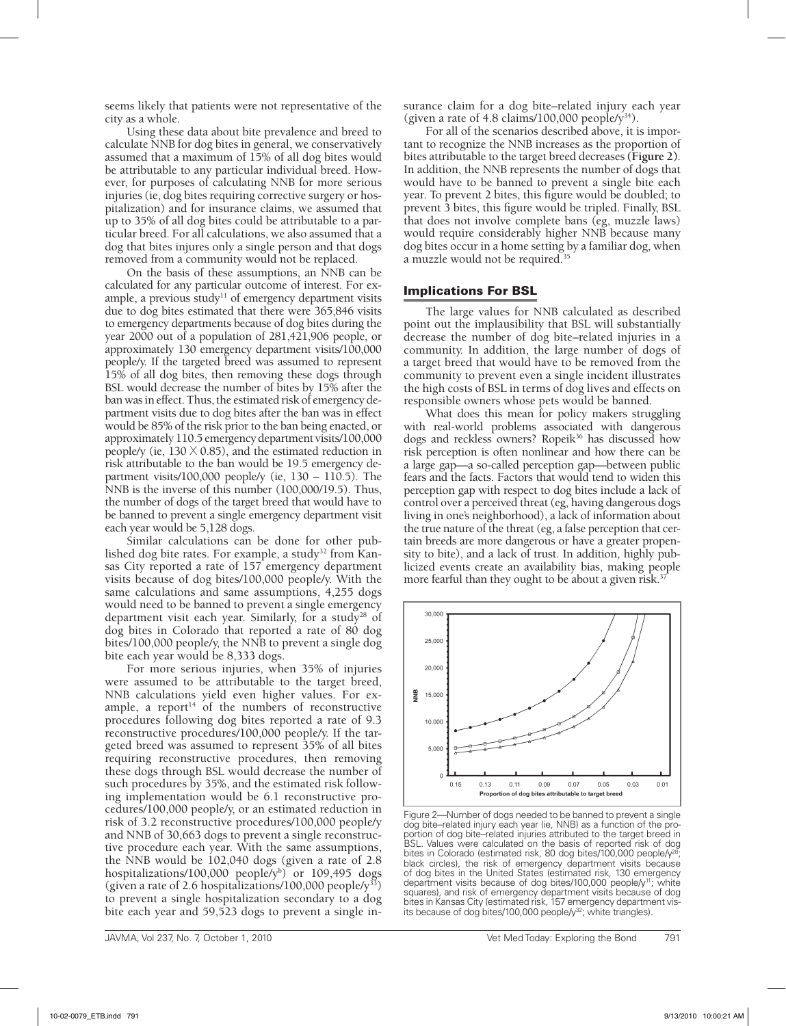seems likely that patients were not representative of the city as a whole.

Using these data about bite prevalence and breed to calculate NNB for dog bites in general, we conservatively assumed that a maximum of 15% of all dog bites would be attributable to any particular individual breed. However, for purposes of calculating NNB for more serious injuries (ie, dog bites requiring corrective surgery or hospitalization) and for insurance claims, we assumed that up to 35% of all dog bites could be attributable to a particular breed. For all calculations, we also assumed that a dog that bites injures only a single person and that dogs removed from a community would not be replaced.

On the basis of these assumptions, an NNB can be calculated for any particular outcome of interest. For example, a previous study<sup>11</sup> of emergency department visits due to dog bites estimated that there were 365,846 visits to emergency departments because of dog bites during the year 2000 out of a population of 281,421,906 people, or approximately 130 emergency department visits/100,000 people/y. If the targeted breed was assumed to represent 15% of all dog bites, then removing these dogs through BSL would decrease the number of bites by 15% after the ban was in effect. Thus, the estimated risk of emergency department visits due to dog bites after the ban was in effect would be 85% of the risk prior to the ban being enacted, or approximately 110.5 emergency department visits/100,000 people/y (ie,  $130 \times 0.85$ ), and the estimated reduction in risk attributable to the ban would be 19.5 emergency department visits/100,000 people/y (ie,  $130 - 110.5$ ). The NNB is the inverse of this number (100,000/19.5). Thus, the number of dogs of the target breed that would have to be banned to prevent a single emergency department visit each year would be 5,128 dogs.

Similar calculations can be done for other published dog bite rates. For example, a study<sup>32</sup> from Kansas City reported a rate of 157 emergency department visits because of dog bites/100,000 people/y. With the same calculations and same assumptions, 4,255 dogs would need to be banned to prevent a single emergency department visit each year. Similarly, for a study<sup>28</sup> of dog bites in Colorado that reported a rate of 80 dog bites/100,000 people/y, the NNB to prevent a single dog bite each year would be 8,333 dogs.

For more serious injuries, when 35% of injuries were assumed to be attributable to the target breed, NNB calculations yield even higher values. For example, a report<sup>14</sup> of the numbers of reconstructive procedures following dog bites reported a rate of 9.3 reconstructive procedures/100,000 people/y. If the targeted breed was assumed to represent 35% of all bites requiring reconstructive procedures, then removing these dogs through BSL would decrease the number of such procedures by 35%, and the estimated risk following implementation would be 6.1 reconstructive procedures/100,000 people/y, or an estimated reduction in risk of 3.2 reconstructive procedures/100,000 people/y and NNB of 30,663 dogs to prevent a single reconstructive procedure each year. With the same assumptions, the NNB would be 102,040 dogs (given a rate of 2.8 hospitalizations/100,000 people/y<sup>b</sup>) or 109,495 dogs (given a rate of 2.6 hospitalizations/100,000 people/ $y^{33}$ ) to prevent a single hospitalization secondary to a dog bite each year and 59,523 dogs to prevent a single insurance claim for a dog bite–related injury each year (given a rate of 4.8 claims/100,000 people/ $v^{34}$ ).

For all of the scenarios described above, it is important to recognize the NNB increases as the proportion of bites attributable to the target breed decreases **(Figure 2)**. In addition, the NNB represents the number of dogs that would have to be banned to prevent a single bite each year. To prevent 2 bites, this figure would be doubled; to prevent 3 bites, this figure would be tripled. Finally, BSL that does not involve complete bans (eg, muzzle laws) would require considerably higher NNB because many dog bites occur in a home setting by a familiar dog, when a muzzle would not be required.35

#### Implications For BSL

The large values for NNB calculated as described point out the implausibility that BSL will substantially decrease the number of dog bite–related injuries in a community. In addition, the large number of dogs of a target breed that would have to be removed from the community to prevent even a single incident illustrates the high costs of BSL in terms of dog lives and effects on responsible owners whose pets would be banned.

What does this mean for policy makers struggling with real-world problems associated with dangerous dogs and reckless owners? Ropeik<sup>36</sup> has discussed how risk perception is often nonlinear and how there can be a large gap—a so-called perception gap—between public fears and the facts. Factors that would tend to widen this perception gap with respect to dog bites include a lack of control over a perceived threat (eg, having dangerous dogs living in one's neighborhood), a lack of information about the true nature of the threat (eg, a false perception that certain breeds are more dangerous or have a greater propensity to bite), and a lack of trust. In addition, highly publicized events create an availability bias, making people more fearful than they ought to be about a given risk.<sup>3</sup>